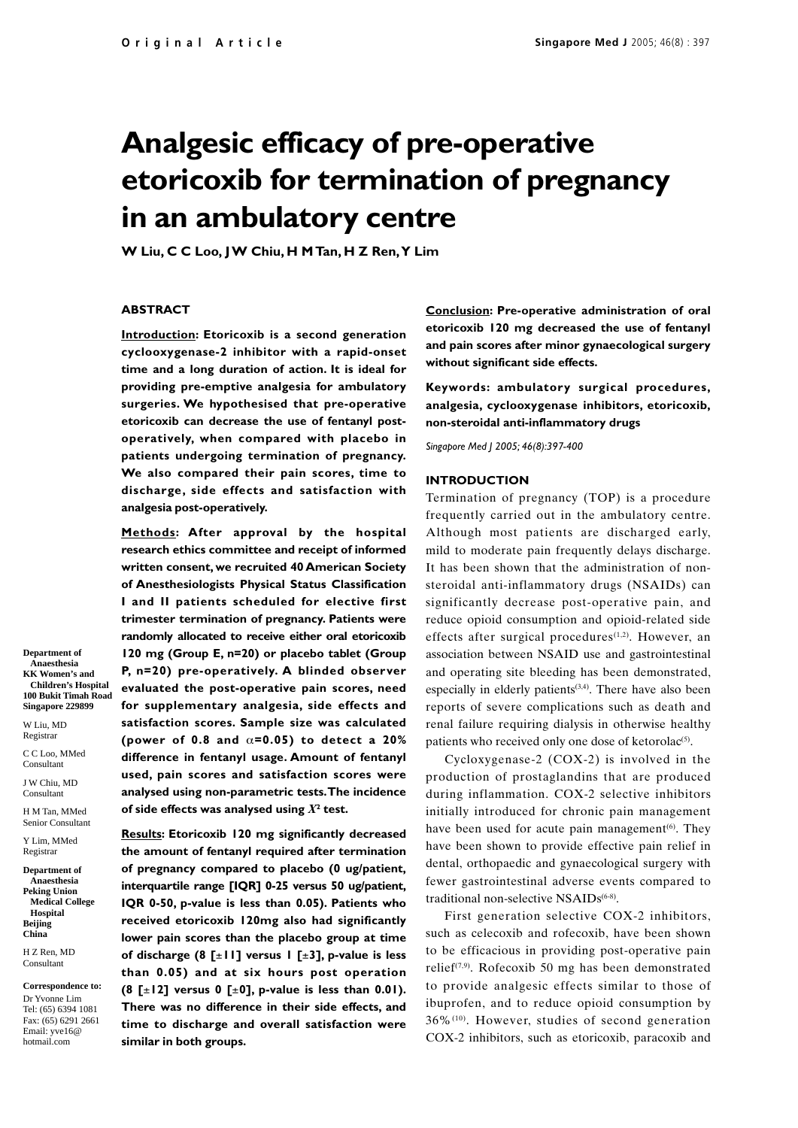# **Analgesic efficacy of pre-operative etoricoxib for termination of pregnancy in an ambulatory centre**

**W Liu, C C Loo, J W Chiu, H M Tan, H Z Ren, Y Lim**

## **ABSTRACT**

**Introduction: Etoricoxib is a second generation cyclooxygenase-2 inhibitor with a rapid-onset time and a long duration of action. It is ideal for providing pre-emptive analgesia for ambulatory surgeries. We hypothesised that pre-operative etoricoxib can decrease the use of fentanyl postoperatively, when compared with placebo in patients undergoing termination of pregnancy. We also compared their pain scores, time to discharge, side effects and satisfaction with analgesia post-operatively.**

**Methods: After approval by the hospital research ethics committee and receipt of informed written consent, we recruited 40 American Society of Anesthesiologists Physical Status Classification I and II patients scheduled for elective first trimester termination of pregnancy. Patients were randomly allocated to receive either oral etoricoxib 120 mg (Group E, n=20) or placebo tablet (Group P, n=20) pre-operatively. A blinded observer evaluated the post-operative pain scores, need for supplementary analgesia, side effects and satisfaction scores. Sample size was calculated (power of 0.8 and** α**=0.05) to detect a 20% difference in fentanyl usage. Amount of fentanyl used, pain scores and satisfaction scores were analysed using non-parametric tests. The incidence** of side effects was analysed using  $X^{\mathsf{2}}$  test.

**Results: Etoricoxib 120 mg significantly decreased the amount of fentanyl required after termination of pregnancy compared to placebo (0 ug/patient, interquartile range [IQR] 0-25 versus 50 ug/patient, IQR 0-50, p-value is less than 0.05). Patients who received etoricoxib 120mg also had significantly lower pain scores than the placebo group at time of discharge (8 [**±**11] versus 1 [**±**3], p-value is less than 0.05) and at six hours post operation (8 [**±**12] versus 0 [**±**0], p-value is less than 0.01). There was no difference in their side effects, and time to discharge and overall satisfaction were similar in both groups.**

**Conclusion: Pre-operative administration of oral etoricoxib 120 mg decreased the use of fentanyl and pain scores after minor gynaecological surgery without significant side effects.**

**Keywords: ambulatory surgical procedures, analgesia, cyclooxygenase inhibitors, etoricoxib, non-steroidal anti-inflammatory drugs**

*Singapore Med J 2005; 46(8):397-400*

### **INTRODUCTION**

Termination of pregnancy (TOP) is a procedure frequently carried out in the ambulatory centre. Although most patients are discharged early, mild to moderate pain frequently delays discharge. It has been shown that the administration of nonsteroidal anti-inflammatory drugs (NSAIDs) can significantly decrease post-operative pain, and reduce opioid consumption and opioid-related side effects after surgical procedures<sup>(1,2)</sup>. However, an association between NSAID use and gastrointestinal and operating site bleeding has been demonstrated, especially in elderly patients<sup>(3,4)</sup>. There have also been reports of severe complications such as death and renal failure requiring dialysis in otherwise healthy patients who received only one dose of ketorolac $(5)$ .

Cycloxygenase-2 (COX-2) is involved in the production of prostaglandins that are produced during inflammation. COX-2 selective inhibitors initially introduced for chronic pain management have been used for acute pain management $(6)$ . They have been shown to provide effective pain relief in dental, orthopaedic and gynaecological surgery with fewer gastrointestinal adverse events compared to traditional non-selective NSAIDs<sup>(6-8)</sup>.

First generation selective COX-2 inhibitors, such as celecoxib and rofecoxib, have been shown to be efficacious in providing post-operative pain relief<sup> $(7,9)$ </sup>. Rofecoxib 50 mg has been demonstrated to provide analgesic effects similar to those of ibuprofen, and to reduce opioid consumption by 36%(10). However, studies of second generation COX-2 inhibitors, such as etoricoxib, paracoxib and

**Department of Anaesthesia KK Women's and Children's Hospital 100 Bukit Timah Road Singapore 229899**

W Liu, MD Registrar

C C Loo, MMed Consultant

J W Chiu, MD Consultant

H M Tan, MMed Senior Consultant

Y Lim, MMed Registrar

**Department of Anaesthesia Peking Union Medical College Hospital Beijing China**

H Z Ren, MD Consultant

**Correspondence to:** Dr Yvonne Lim Tel: (65) 6394 1081 Fax: (65) 6291 2661 Email: yve16@ hotmail.com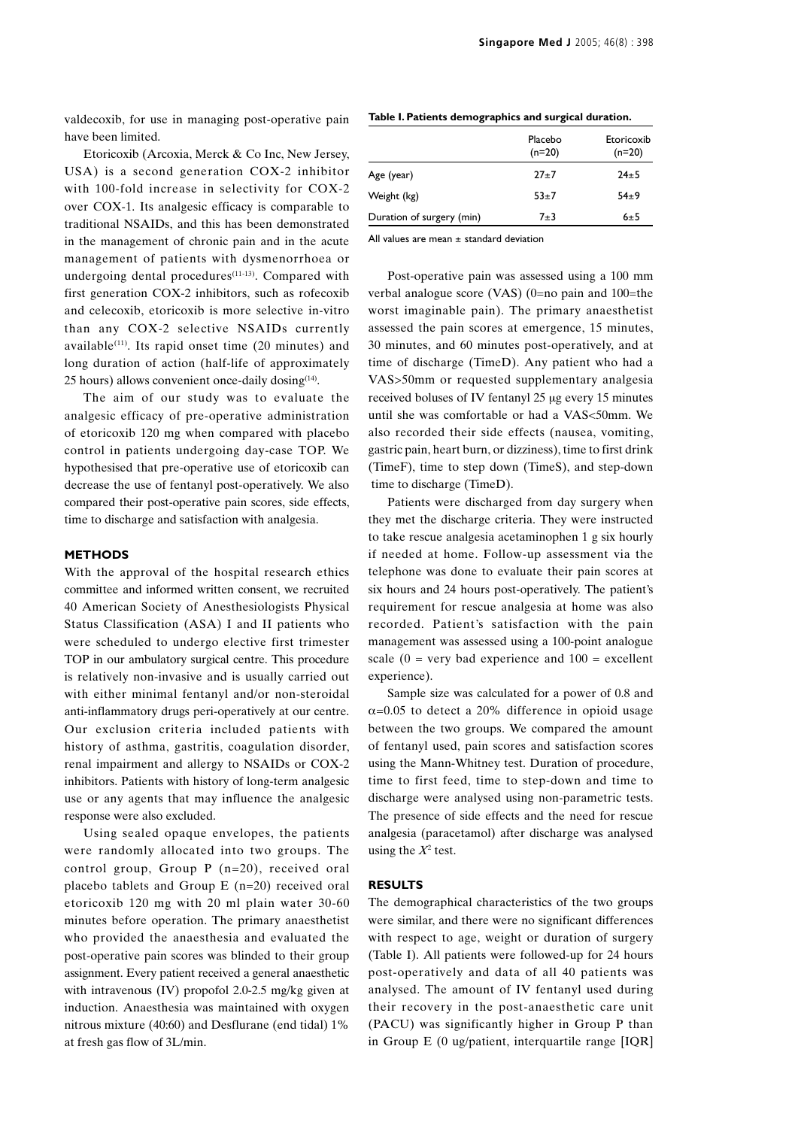valdecoxib, for use in managing post-operative pain have been limited.

Etoricoxib (Arcoxia, Merck & Co Inc, New Jersey, USA) is a second generation COX-2 inhibitor with 100-fold increase in selectivity for COX-2 over COX-1. Its analgesic efficacy is comparable to traditional NSAIDs, and this has been demonstrated in the management of chronic pain and in the acute management of patients with dysmenorrhoea or undergoing dental procedures $(11-13)$ . Compared with first generation COX-2 inhibitors, such as rofecoxib and celecoxib, etoricoxib is more selective in-vitro than any COX-2 selective NSAIDs currently available<sup> $(11)$ </sup>. Its rapid onset time (20 minutes) and long duration of action (half-life of approximately 25 hours) allows convenient once-daily dosing(14).

The aim of our study was to evaluate the analgesic efficacy of pre-operative administration of etoricoxib 120 mg when compared with placebo control in patients undergoing day-case TOP. We hypothesised that pre-operative use of etoricoxib can decrease the use of fentanyl post-operatively. We also compared their post-operative pain scores, side effects, time to discharge and satisfaction with analgesia.

# **METHODS**

With the approval of the hospital research ethics committee and informed written consent, we recruited 40 American Society of Anesthesiologists Physical Status Classification (ASA) I and II patients who were scheduled to undergo elective first trimester TOP in our ambulatory surgical centre. This procedure is relatively non-invasive and is usually carried out with either minimal fentanyl and/or non-steroidal anti-inflammatory drugs peri-operatively at our centre. Our exclusion criteria included patients with history of asthma, gastritis, coagulation disorder, renal impairment and allergy to NSAIDs or COX-2 inhibitors. Patients with history of long-term analgesic use or any agents that may influence the analgesic response were also excluded.

Using sealed opaque envelopes, the patients were randomly allocated into two groups. The control group, Group P (n=20), received oral placebo tablets and Group E (n=20) received oral etoricoxib 120 mg with 20 ml plain water 30-60 minutes before operation. The primary anaesthetist who provided the anaesthesia and evaluated the post-operative pain scores was blinded to their group assignment. Every patient received a general anaesthetic with intravenous (IV) propofol 2.0-2.5 mg/kg given at induction. Anaesthesia was maintained with oxygen nitrous mixture (40:60) and Desflurane (end tidal) 1% at fresh gas flow of 3L/min.

|                           | Placebo<br>$(n=20)$ | Etoricoxib<br>$(n=20)$ |
|---------------------------|---------------------|------------------------|
| Age (year)                | $27+7$              | $24 \pm 5$             |
| Weight (kg)               | $53+7$              | $54 + 9$               |
| Duration of surgery (min) | $7 + 3$             | 6±5                    |

**Table I. Patients demographics and surgical duration.**

All values are mean  $\pm$  standard deviation

Post-operative pain was assessed using a 100 mm verbal analogue score (VAS) (0=no pain and 100=the worst imaginable pain). The primary anaesthetist assessed the pain scores at emergence, 15 minutes, 30 minutes, and 60 minutes post-operatively, and at time of discharge (TimeD). Any patient who had a VAS>50mm or requested supplementary analgesia received boluses of IV fentanyl 25 µg every 15 minutes until she was comfortable or had a VAS<50mm. We also recorded their side effects (nausea, vomiting, gastric pain, heart burn, or dizziness), time to first drink (TimeF), time to step down (TimeS), and step-down time to discharge (TimeD).

Patients were discharged from day surgery when they met the discharge criteria. They were instructed to take rescue analgesia acetaminophen 1 g six hourly if needed at home. Follow-up assessment via the telephone was done to evaluate their pain scores at six hours and 24 hours post-operatively. The patient's requirement for rescue analgesia at home was also recorded. Patient's satisfaction with the pain management was assessed using a 100-point analogue scale ( $0 = \text{very bad experience and } 100 = \text{excellent}$ experience).

Sample size was calculated for a power of 0.8 and  $\alpha$ =0.05 to detect a 20% difference in opioid usage between the two groups. We compared the amount of fentanyl used, pain scores and satisfaction scores using the Mann-Whitney test. Duration of procedure, time to first feed, time to step-down and time to discharge were analysed using non-parametric tests. The presence of side effects and the need for rescue analgesia (paracetamol) after discharge was analysed using the  $X^2$  test.

#### **RESULTS**

The demographical characteristics of the two groups were similar, and there were no significant differences with respect to age, weight or duration of surgery (Table I). All patients were followed-up for 24 hours post-operatively and data of all 40 patients was analysed. The amount of IV fentanyl used during their recovery in the post-anaesthetic care unit (PACU) was significantly higher in Group P than in Group E (0 ug/patient, interquartile range [IQR]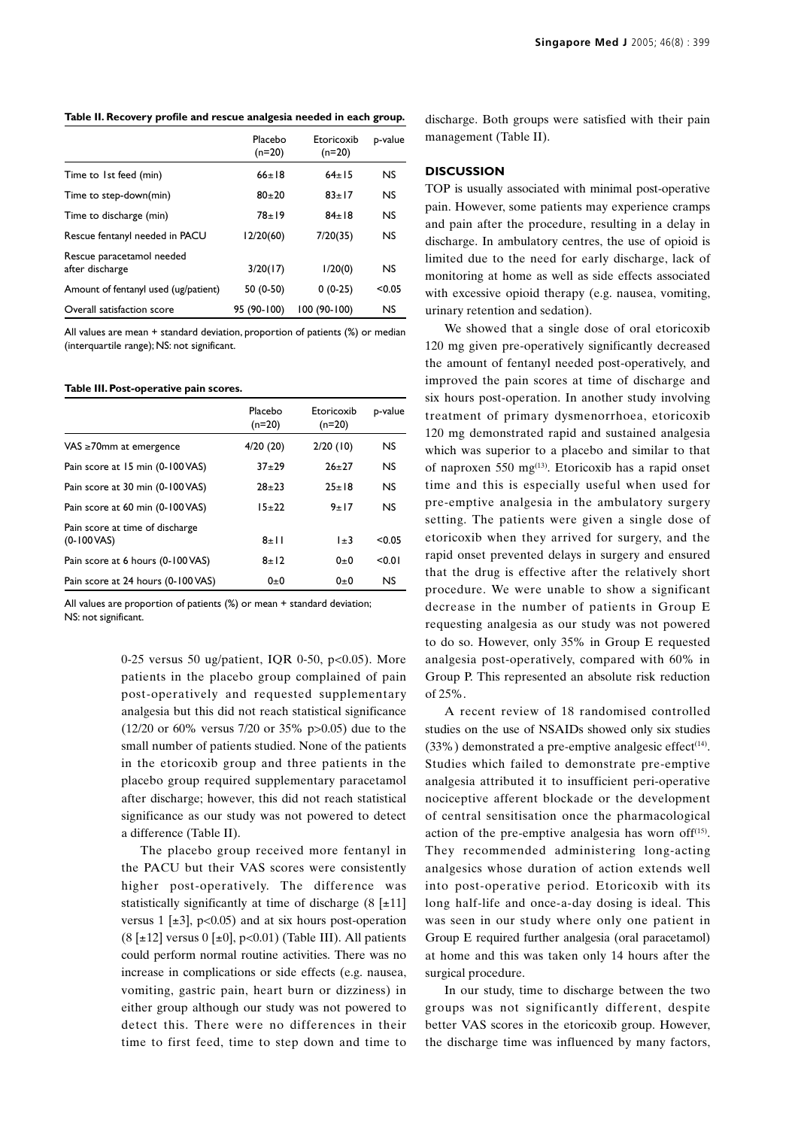| Table II. Recovery profile and rescue analgesia needed in each group. |
|-----------------------------------------------------------------------|
|-----------------------------------------------------------------------|

|                                              | Placebo<br>$(n=20)$ | Etoricoxib<br>$(n=20)$ | p-value   |
|----------------------------------------------|---------------------|------------------------|-----------|
| Time to 1st feed (min)                       | $66+18$             | $64+15$                | <b>NS</b> |
| Time to step-down(min)                       | $80 + 20$           | $83 \pm 17$            | <b>NS</b> |
| Time to discharge (min)                      | $78 + 19$           | $84+18$                | <b>NS</b> |
| Rescue fentanyl needed in PACU               | 12/20(60)           | 7/20(35)               | <b>NS</b> |
| Rescue paracetamol needed<br>after discharge | 3/20(17)            | 1/20(0)                | <b>NS</b> |
| Amount of fentanyl used (ug/patient)         | 50 (0-50)           | $0(0-25)$              | < 0.05    |
| Overall satisfaction score                   | 95 (90-100)         | 100 (90-100)           | <b>NS</b> |

All values are mean + standard deviation, proportion of patients (%) or median (interquartile range); NS: not significant.

#### **Table III. Post-operative pain scores.**

|                                                         | Placebo<br>$(n=20)$ | Etoricoxib<br>$(n=20)$ | p-value   |
|---------------------------------------------------------|---------------------|------------------------|-----------|
| $VAS \geq 70$ mm at emergence                           | 4/20(20)            | 2/20(10)               | <b>NS</b> |
| Pain score at 15 min (0-100 VAS)                        | $37 + 29$           | $26 + 27$              | <b>NS</b> |
| Pain score at 30 min (0-100 VAS)                        | $78 + 73$           | $25+18$                | <b>NS</b> |
| Pain score at 60 min (0-100 VAS)                        | $15+22$             | 9 ± 17                 | <b>NS</b> |
| Pain score at time of discharge<br>$(0-100\text{ VAS})$ | $8 + 11$            | $1\pm3$                | < 0.05    |
| Pain score at 6 hours (0-100 VAS)                       | $8 + 12$            | $0 + 0$                | 50.01     |
| Pain score at 24 hours (0-100 VAS)                      | $0\pm 0$            | $0\pm 0$               | <b>NS</b> |

All values are proportion of patients (%) or mean + standard deviation; NS: not significant.

> 0-25 versus 50 ug/patient, IQR 0-50, p<0.05). More patients in the placebo group complained of pain post-operatively and requested supplementary analgesia but this did not reach statistical significance (12/20 or 60% versus 7/20 or 35% p>0.05) due to the small number of patients studied. None of the patients in the etoricoxib group and three patients in the placebo group required supplementary paracetamol after discharge; however, this did not reach statistical significance as our study was not powered to detect a difference (Table II).

> The placebo group received more fentanyl in the PACU but their VAS scores were consistently higher post-operatively. The difference was statistically significantly at time of discharge  $(8 \pm 11)$ versus 1  $[\pm 3]$ , p<0.05) and at six hours post-operation  $(8 \pm 12)$  versus  $0 \pm 0$ , p<0.01) (Table III). All patients could perform normal routine activities. There was no increase in complications or side effects (e.g. nausea, vomiting, gastric pain, heart burn or dizziness) in either group although our study was not powered to detect this. There were no differences in their time to first feed, time to step down and time to

discharge. Both groups were satisfied with their pain management (Table II).

# **DISCUSSION**

TOP is usually associated with minimal post-operative pain. However, some patients may experience cramps and pain after the procedure, resulting in a delay in discharge. In ambulatory centres, the use of opioid is limited due to the need for early discharge, lack of monitoring at home as well as side effects associated with excessive opioid therapy (e.g. nausea, vomiting, urinary retention and sedation).

We showed that a single dose of oral etoricoxib 120 mg given pre-operatively significantly decreased the amount of fentanyl needed post-operatively, and improved the pain scores at time of discharge and six hours post-operation. In another study involving treatment of primary dysmenorrhoea, etoricoxib 120 mg demonstrated rapid and sustained analgesia which was superior to a placebo and similar to that of naproxen 550 mg<sup>(13)</sup>. Etoricoxib has a rapid onset time and this is especially useful when used for pre-emptive analgesia in the ambulatory surgery setting. The patients were given a single dose of etoricoxib when they arrived for surgery, and the rapid onset prevented delays in surgery and ensured that the drug is effective after the relatively short procedure. We were unable to show a significant decrease in the number of patients in Group E requesting analgesia as our study was not powered to do so. However, only 35% in Group E requested analgesia post-operatively, compared with 60% in Group P. This represented an absolute risk reduction of 25%.

A recent review of 18 randomised controlled studies on the use of NSAIDs showed only six studies  $(33\%)$  demonstrated a pre-emptive analgesic effect<sup>(14)</sup>. Studies which failed to demonstrate pre-emptive analgesia attributed it to insufficient peri-operative nociceptive afferent blockade or the development of central sensitisation once the pharmacological action of the pre-emptive analgesia has worn of  $f^{(15)}$ . They recommended administering long-acting analgesics whose duration of action extends well into post-operative period. Etoricoxib with its long half-life and once-a-day dosing is ideal. This was seen in our study where only one patient in Group E required further analgesia (oral paracetamol) at home and this was taken only 14 hours after the surgical procedure.

In our study, time to discharge between the two groups was not significantly different, despite better VAS scores in the etoricoxib group. However, the discharge time was influenced by many factors,